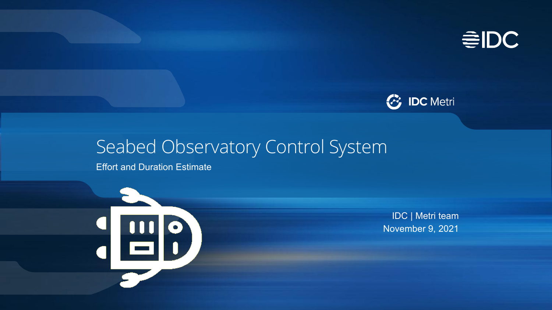



# Seabed Observatory Control System

Effort and Duration Estimate



IDC | Metri team November 9, 2021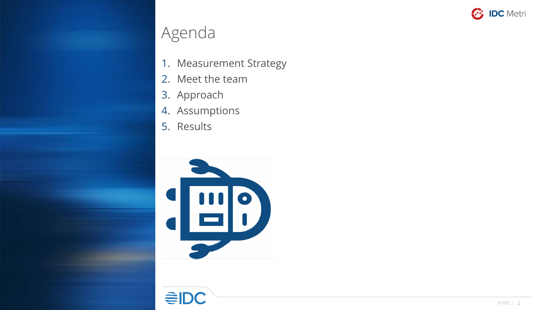

# Agenda

- 1. Measurement Strategy
- 2. Meet the team
- 3. Approach
- 4. Assumptions
- 5. Results



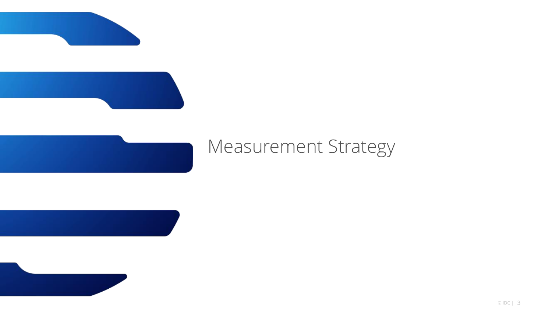



# Measurement Strategy

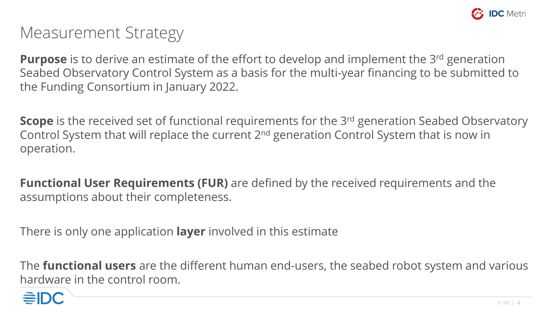

# Measurement Strategy

**Purpose** is to derive an estimate of the effort to develop and implement the 3rd generation Seabed Observatory Control System as a basis for the multi-year financing to be submitted to the Funding Consortium in January 2022.

**Scope** is the received set of functional requirements for the 3<sup>rd</sup> generation Seabed Observatory Control System that will replace the current 2nd generation Control System that is now in operation.

**Functional User Requirements (FUR)** are defined by the received requirements and the assumptions about their completeness.

There is only one application **layer** involved in this estimate

The **functional users** are the different human end-users, the seabed robot system and various hardware in the control room.

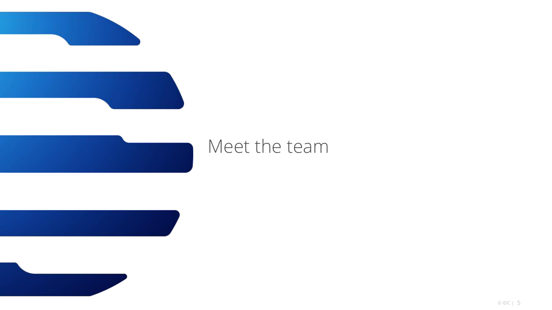



# Meet the team

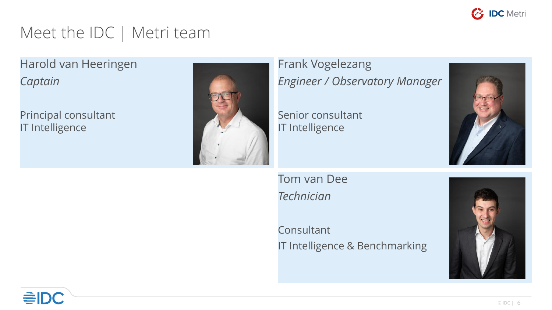

# Meet the IDC | Metri team

Harold van Heeringen *Captain*

Principal consultant IT Intelligence



Frank Vogelezang *Engineer / Observatory Manager*

Senior consultant IT Intelligence



Tom van Dee *Technician*

Consultant IT Intelligence & Benchmarking

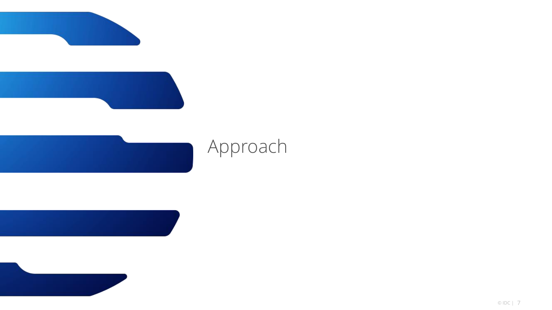



# Approach

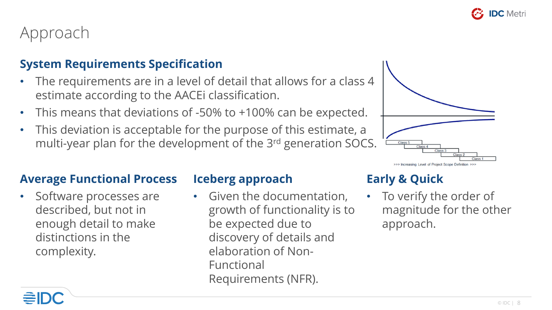

## Approach

#### **System Requirements Specification**

- The requirements are in a level of detail that allows for a class 4 estimate according to the AACEi classification.
- This means that deviations of -50% to +100% can be expected.
- This deviation is acceptable for the purpose of this estimate, a multi-year plan for the development of the 3rd generation SOCS.



#### **Average Functional Process**

Software processes are described, but not in enough detail to make distinctions in the complexity.

#### **Iceberg approach**

• Given the documentation, growth of functionality is to be expected due to discovery of details and elaboration of Non-Functional Requirements (NFR).

## **Early & Quick**

• To verify the order of magnitude for the other approach.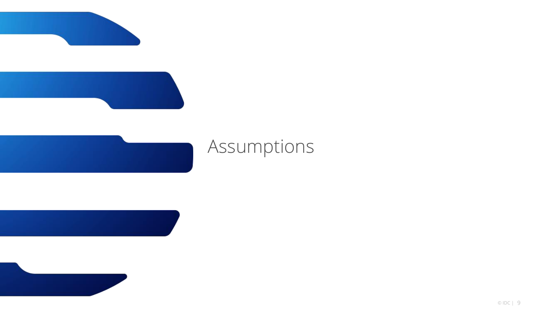



# Assumptions

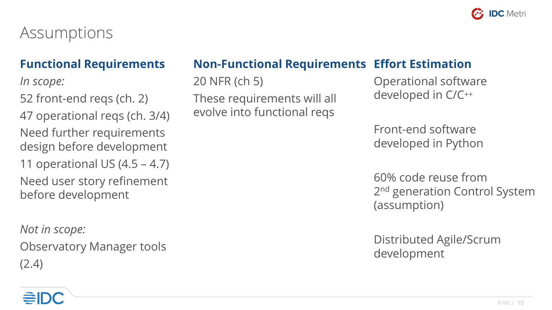

# Assumptions

### **Functional Requirements**

*In scope:*

52 front-end reqs (ch. 2)

47 operational reqs (ch. 3/4)

Need further requirements design before development

11 operational US (4.5 – 4.7)

Need user story refinement before development

*Not in scope:* Observatory Manager tools

(2.4)

## **Non-Functional Requirements Effort Estimation**

20 NFR (ch 5)

These requirements will all evolve into functional reqs

Operational software developed in C/C++

Front-end software developed in Python

60% code reuse from 2<sup>nd</sup> generation Control System (assumption)

Distributed Agile/Scrum development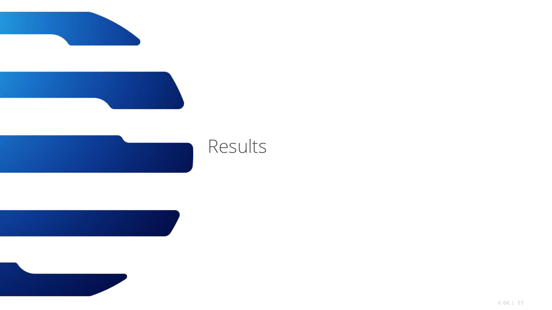



# Results

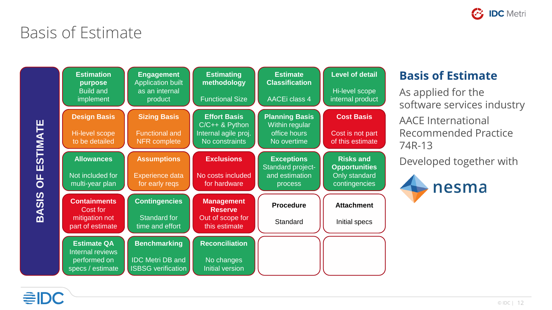

# Basis of Estimate



#### **Basis of Estimate**

As applied for the software services industry

AACE International Recommended Practice 74R-13

Developed together with

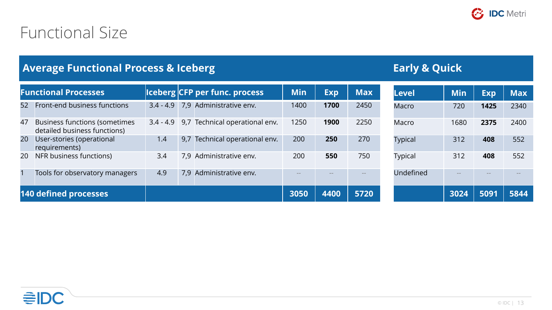

# Functional Size

#### **Average Functional Process & Iceberg Early & Quick**

| <b>Functional Processes</b> |                                                                      |             |     | <b>Iceberg CFP per func. process</b> | <b>Min</b> | <b>Exp</b> | <b>Max</b> | <b>Level</b>   | Min  | <b>Exp</b> | <b>Max</b> |
|-----------------------------|----------------------------------------------------------------------|-------------|-----|--------------------------------------|------------|------------|------------|----------------|------|------------|------------|
| 52                          | Front-end business functions                                         | $3.4 - 4.9$ |     | 7,9 Administrative env.              | 1400       | 1700       | 2450       | <b>Macro</b>   | 720  | 1425       | 2340       |
| 47                          | <b>Business functions (sometimes</b><br>detailed business functions) | $3.4 - 4.9$ |     | 9,7 Technical operational env.       | 1250       | 1900       | 2250       | Macro          | 1680 | 2375       | 2400       |
| 20                          | User-stories (operational<br>requirements)                           | 1.4         |     | 9,7 Technical operational env.       | 200        | 250        | 270        | <b>Typical</b> | 312  | 408        | 552        |
| 20                          | NFR business functions)                                              | 3.4         | 7.9 | Administrative env.                  | 200        | 550        | 750        | <b>Typical</b> | 312  | 408        | 552        |
|                             | Tools for observatory managers                                       | 4.9         |     | 7,9 Administrative env.              |            |            |            | Undefined      |      |            |            |
|                             | 140 defined processes                                                |             |     |                                      | 3050       | 4400       | 5720       |                | 3024 | 5091       | 5844       |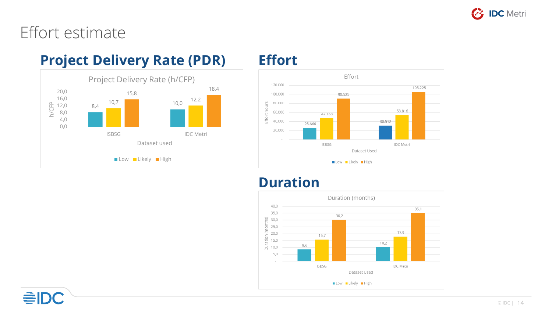

## Effort estimate

## **Project Delivery Rate (PDR) Effort**





### **Duration**

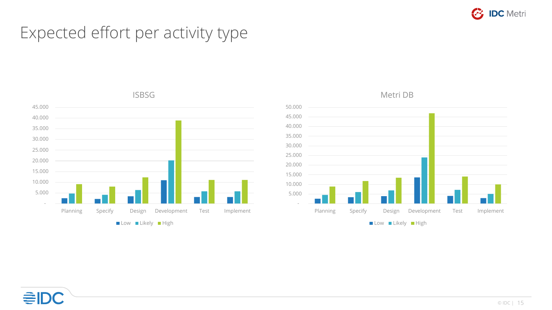

# Expected effort per activity type





Metri DB

# ≘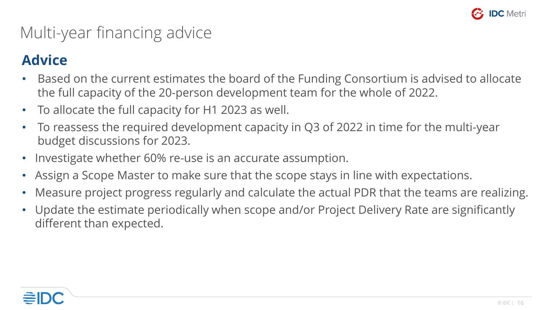

# Multi-year financing advice

## **Advice**

- Based on the current estimates the board of the Funding Consortium is advised to allocate the full capacity of the 20-person development team for the whole of 2022.
- To allocate the full capacity for H1 2023 as well.
- To reassess the required development capacity in Q3 of 2022 in time for the multi-year budget discussions for 2023.
- Investigate whether 60% re-use is an accurate assumption.
- Assign a Scope Master to make sure that the scope stays in line with expectations.
- Measure project progress regularly and calculate the actual PDR that the teams are realizing.
- Update the estimate periodically when scope and/or Project Delivery Rate are significantly different than expected.